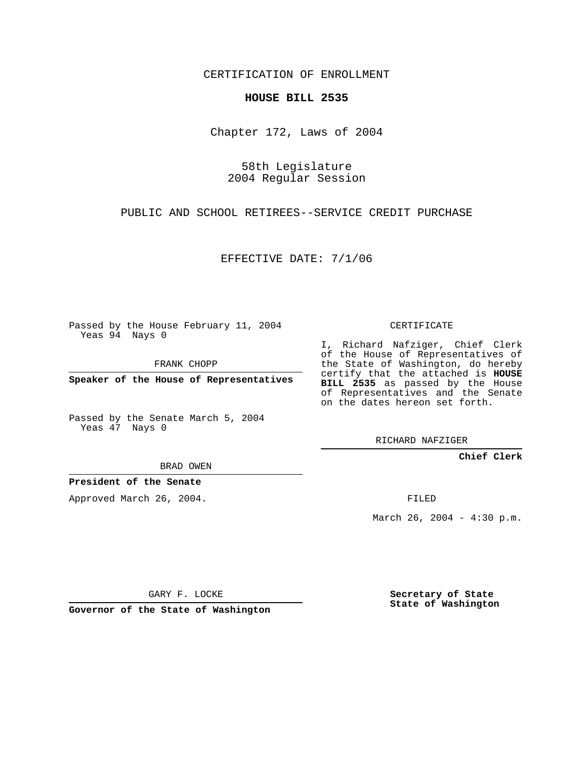CERTIFICATION OF ENROLLMENT

## **HOUSE BILL 2535**

Chapter 172, Laws of 2004

58th Legislature 2004 Regular Session

PUBLIC AND SCHOOL RETIREES--SERVICE CREDIT PURCHASE

EFFECTIVE DATE: 7/1/06

Passed by the House February 11, 2004 Yeas 94 Nays 0

FRANK CHOPP

**Speaker of the House of Representatives**

Passed by the Senate March 5, 2004 Yeas 47 Nays 0

BRAD OWEN

**President of the Senate**

Approved March 26, 2004.

CERTIFICATE

I, Richard Nafziger, Chief Clerk of the House of Representatives of the State of Washington, do hereby certify that the attached is **HOUSE BILL 2535** as passed by the House of Representatives and the Senate on the dates hereon set forth.

RICHARD NAFZIGER

**Chief Clerk**

FILED

March 26, 2004 - 4:30 p.m.

GARY F. LOCKE

**Governor of the State of Washington**

**Secretary of State State of Washington**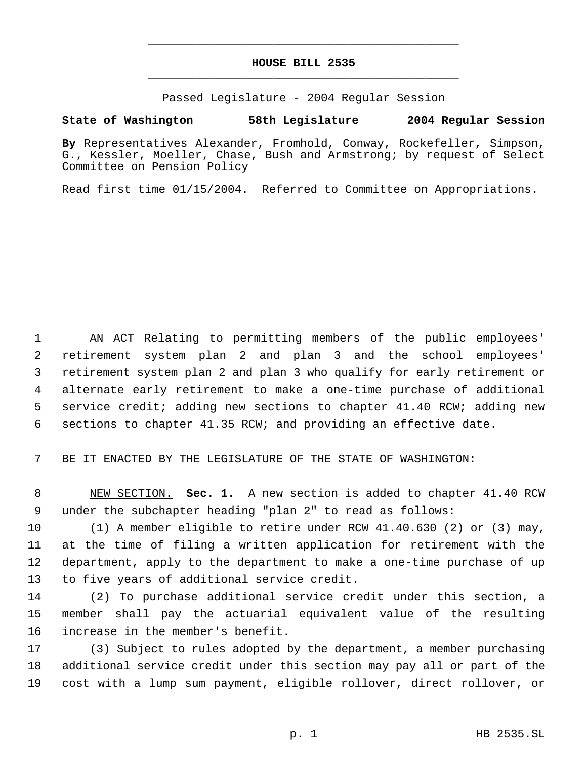## **HOUSE BILL 2535** \_\_\_\_\_\_\_\_\_\_\_\_\_\_\_\_\_\_\_\_\_\_\_\_\_\_\_\_\_\_\_\_\_\_\_\_\_\_\_\_\_\_\_\_\_

\_\_\_\_\_\_\_\_\_\_\_\_\_\_\_\_\_\_\_\_\_\_\_\_\_\_\_\_\_\_\_\_\_\_\_\_\_\_\_\_\_\_\_\_\_

Passed Legislature - 2004 Regular Session

## **State of Washington 58th Legislature 2004 Regular Session**

**By** Representatives Alexander, Fromhold, Conway, Rockefeller, Simpson, G., Kessler, Moeller, Chase, Bush and Armstrong; by request of Select Committee on Pension Policy

Read first time 01/15/2004. Referred to Committee on Appropriations.

 AN ACT Relating to permitting members of the public employees' retirement system plan 2 and plan 3 and the school employees' retirement system plan 2 and plan 3 who qualify for early retirement or alternate early retirement to make a one-time purchase of additional service credit; adding new sections to chapter 41.40 RCW; adding new sections to chapter 41.35 RCW; and providing an effective date.

BE IT ENACTED BY THE LEGISLATURE OF THE STATE OF WASHINGTON:

 NEW SECTION. **Sec. 1.** A new section is added to chapter 41.40 RCW under the subchapter heading "plan 2" to read as follows:

 (1) A member eligible to retire under RCW 41.40.630 (2) or (3) may, at the time of filing a written application for retirement with the department, apply to the department to make a one-time purchase of up to five years of additional service credit.

 (2) To purchase additional service credit under this section, a member shall pay the actuarial equivalent value of the resulting increase in the member's benefit.

 (3) Subject to rules adopted by the department, a member purchasing additional service credit under this section may pay all or part of the cost with a lump sum payment, eligible rollover, direct rollover, or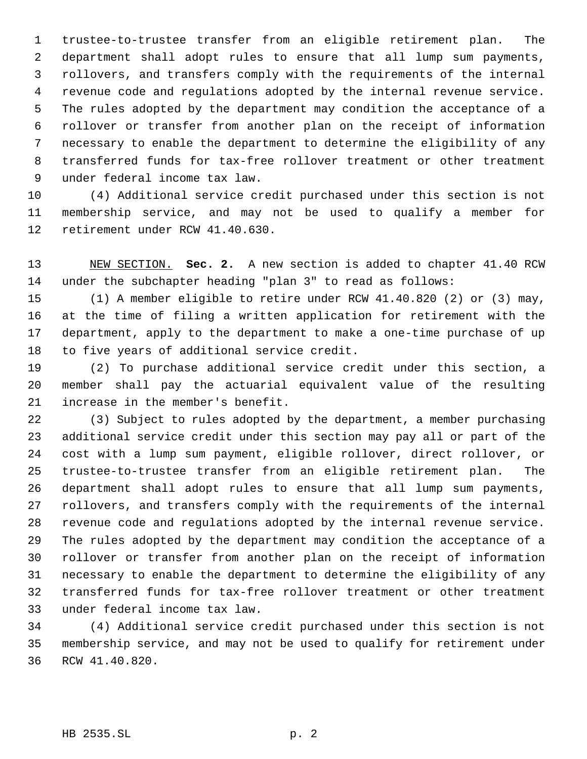trustee-to-trustee transfer from an eligible retirement plan. The department shall adopt rules to ensure that all lump sum payments, rollovers, and transfers comply with the requirements of the internal revenue code and regulations adopted by the internal revenue service. The rules adopted by the department may condition the acceptance of a rollover or transfer from another plan on the receipt of information necessary to enable the department to determine the eligibility of any transferred funds for tax-free rollover treatment or other treatment under federal income tax law.

 (4) Additional service credit purchased under this section is not membership service, and may not be used to qualify a member for retirement under RCW 41.40.630.

 NEW SECTION. **Sec. 2.** A new section is added to chapter 41.40 RCW under the subchapter heading "plan 3" to read as follows:

 (1) A member eligible to retire under RCW 41.40.820 (2) or (3) may, at the time of filing a written application for retirement with the department, apply to the department to make a one-time purchase of up to five years of additional service credit.

 (2) To purchase additional service credit under this section, a member shall pay the actuarial equivalent value of the resulting increase in the member's benefit.

 (3) Subject to rules adopted by the department, a member purchasing additional service credit under this section may pay all or part of the cost with a lump sum payment, eligible rollover, direct rollover, or trustee-to-trustee transfer from an eligible retirement plan. The department shall adopt rules to ensure that all lump sum payments, rollovers, and transfers comply with the requirements of the internal revenue code and regulations adopted by the internal revenue service. The rules adopted by the department may condition the acceptance of a rollover or transfer from another plan on the receipt of information necessary to enable the department to determine the eligibility of any transferred funds for tax-free rollover treatment or other treatment under federal income tax law.

 (4) Additional service credit purchased under this section is not membership service, and may not be used to qualify for retirement under RCW 41.40.820.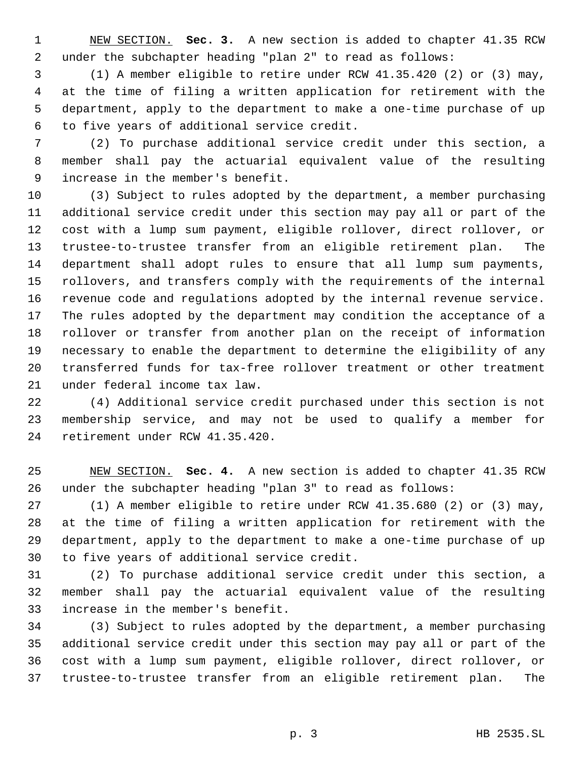NEW SECTION. **Sec. 3.** A new section is added to chapter 41.35 RCW under the subchapter heading "plan 2" to read as follows:

 (1) A member eligible to retire under RCW 41.35.420 (2) or (3) may, at the time of filing a written application for retirement with the department, apply to the department to make a one-time purchase of up to five years of additional service credit.

 (2) To purchase additional service credit under this section, a member shall pay the actuarial equivalent value of the resulting increase in the member's benefit.

 (3) Subject to rules adopted by the department, a member purchasing additional service credit under this section may pay all or part of the cost with a lump sum payment, eligible rollover, direct rollover, or trustee-to-trustee transfer from an eligible retirement plan. The department shall adopt rules to ensure that all lump sum payments, rollovers, and transfers comply with the requirements of the internal revenue code and regulations adopted by the internal revenue service. The rules adopted by the department may condition the acceptance of a rollover or transfer from another plan on the receipt of information necessary to enable the department to determine the eligibility of any transferred funds for tax-free rollover treatment or other treatment under federal income tax law.

 (4) Additional service credit purchased under this section is not membership service, and may not be used to qualify a member for retirement under RCW 41.35.420.

 NEW SECTION. **Sec. 4.** A new section is added to chapter 41.35 RCW under the subchapter heading "plan 3" to read as follows:

 (1) A member eligible to retire under RCW 41.35.680 (2) or (3) may, at the time of filing a written application for retirement with the department, apply to the department to make a one-time purchase of up to five years of additional service credit.

 (2) To purchase additional service credit under this section, a member shall pay the actuarial equivalent value of the resulting increase in the member's benefit.

 (3) Subject to rules adopted by the department, a member purchasing additional service credit under this section may pay all or part of the cost with a lump sum payment, eligible rollover, direct rollover, or trustee-to-trustee transfer from an eligible retirement plan. The